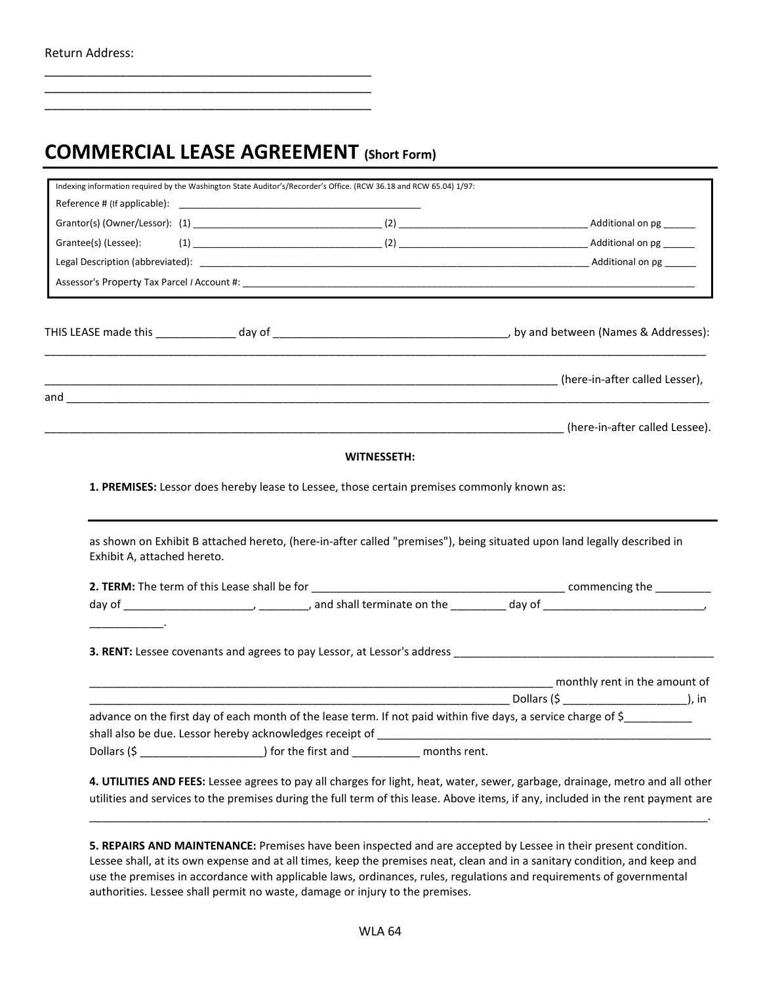## **COMMERCIAL LEASE AGREEMENT (Short Form)**

\_\_\_\_\_\_\_\_\_\_\_\_\_\_\_\_\_\_\_\_\_\_\_\_\_\_\_\_\_\_\_\_\_\_\_\_\_\_\_\_\_\_\_\_\_\_\_\_ \_\_\_\_\_\_\_\_\_\_\_\_\_\_\_\_\_\_\_\_\_\_\_\_\_\_\_\_\_\_\_\_\_\_\_\_\_\_\_\_\_\_\_\_\_\_\_\_ \_\_\_\_\_\_\_\_\_\_\_\_\_\_\_\_\_\_\_\_\_\_\_\_\_\_\_\_\_\_\_\_\_\_\_\_\_\_\_\_\_\_\_\_\_\_\_\_

|                             | Indexing information required by the Washington State Auditor's/Recorder's Office. (RCW 36.18 and RCW 65.04) 1/97: |                                                                                            |                                                                                                                         |
|-----------------------------|--------------------------------------------------------------------------------------------------------------------|--------------------------------------------------------------------------------------------|-------------------------------------------------------------------------------------------------------------------------|
|                             |                                                                                                                    |                                                                                            |                                                                                                                         |
|                             |                                                                                                                    |                                                                                            |                                                                                                                         |
| Grantee(s) (Lessee):        |                                                                                                                    |                                                                                            |                                                                                                                         |
|                             |                                                                                                                    |                                                                                            |                                                                                                                         |
|                             |                                                                                                                    |                                                                                            |                                                                                                                         |
|                             |                                                                                                                    |                                                                                            |                                                                                                                         |
|                             |                                                                                                                    |                                                                                            | here-in-after called Lesser), المستقل (here-in-after called Lesser), المستقل المستقل (here-in-after called Lesser),     |
|                             |                                                                                                                    |                                                                                            |                                                                                                                         |
|                             |                                                                                                                    |                                                                                            |                                                                                                                         |
|                             |                                                                                                                    |                                                                                            |                                                                                                                         |
|                             |                                                                                                                    | <b>WITNESSETH:</b>                                                                         |                                                                                                                         |
| Exhibit A, attached hereto. |                                                                                                                    | 1. PREMISES: Lessor does hereby lease to Lessee, those certain premises commonly known as: | as shown on Exhibit B attached hereto, (here-in-after called "premises"), being situated upon land legally described in |
|                             |                                                                                                                    |                                                                                            |                                                                                                                         |
|                             |                                                                                                                    |                                                                                            |                                                                                                                         |
|                             |                                                                                                                    |                                                                                            |                                                                                                                         |
|                             |                                                                                                                    |                                                                                            |                                                                                                                         |
|                             |                                                                                                                    |                                                                                            |                                                                                                                         |
|                             |                                                                                                                    |                                                                                            | advance on the first day of each month of the lease term. If not paid within five days, a service charge of \$          |
|                             |                                                                                                                    |                                                                                            |                                                                                                                         |

**5. REPAIRS AND MAINTENANCE:** Premises have been inspected and are accepted by Lessee in their present condition. Lessee shall, at its own expense and at all times, keep the premises neat, clean and in a sanitary condition, and keep and use the premises in accordance with applicable laws, ordinances, rules, regulations and requirements of governmental authorities. Lessee shall permit no waste, damage or injury to the premises.

\_\_\_\_\_\_\_\_\_\_\_\_\_\_\_\_\_\_\_\_\_\_\_\_\_\_\_\_\_\_\_\_\_\_\_\_\_\_\_\_\_\_\_\_\_\_\_\_\_\_\_\_\_\_\_\_\_\_\_\_\_\_\_\_\_\_\_\_\_\_\_\_\_\_\_\_\_\_\_\_\_\_\_\_\_\_\_\_\_\_\_\_\_\_\_\_\_\_\_\_.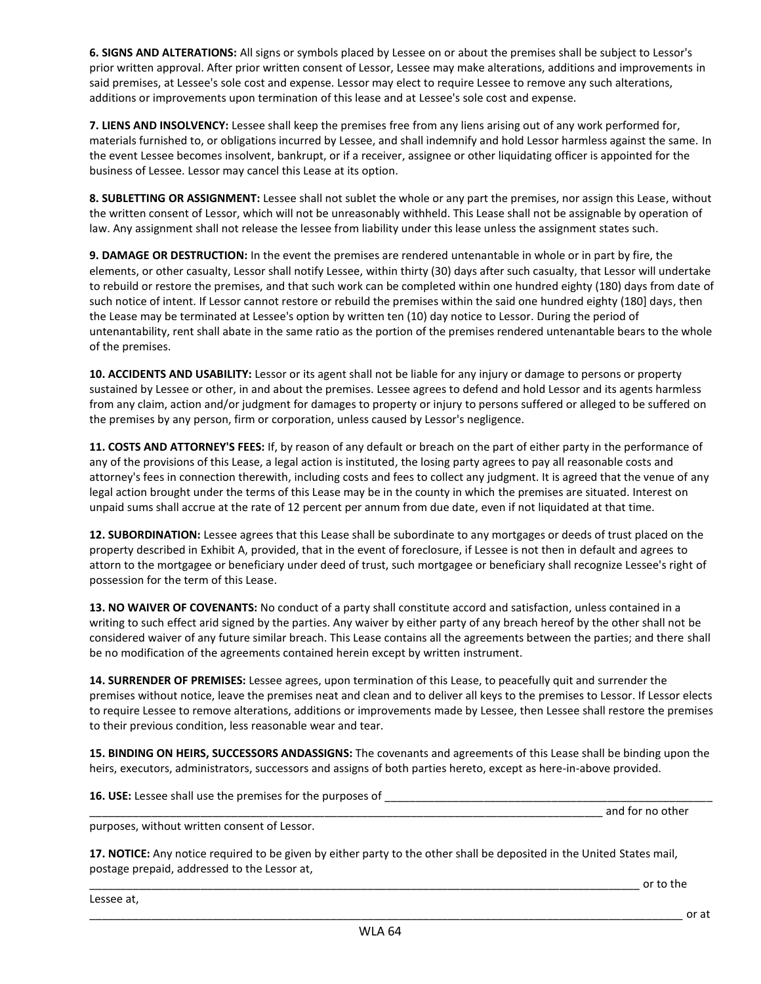**6. SIGNS AND ALTERATIONS:** All signs or symbols placed by Lessee on or about the premises shall be subject to Lessor's prior written approval. After prior written consent of Lessor, Lessee may make alterations, additions and improvements in said premises, at Lessee's sole cost and expense. Lessor may elect to require Lessee to remove any such alterations, additions or improvements upon termination of this lease and at Lessee's sole cost and expense.

**7. LIENS AND INSOLVENCY:** Lessee shall keep the premises free from any liens arising out of any work performed for, materials furnished to, or obligations incurred by Lessee, and shall indemnify and hold Lessor harmless against the same. In the event Lessee becomes insolvent, bankrupt, or if a receiver, assignee or other liquidating officer is appointed for the business of Lessee. Lessor may cancel this Lease at its option.

**8. SUBLETTING OR ASSIGNMENT:** Lessee shall not sublet the whole or any part the premises, nor assign this Lease, without the written consent of Lessor, which will not be unreasonably withheld. This Lease shall not be assignable by operation of law. Any assignment shall not release the lessee from liability under this lease unless the assignment states such.

**9. DAMAGE OR DESTRUCTION:** In the event the premises are rendered untenantable in whole or in part by fire, the elements, or other casualty, Lessor shall notify Lessee, within thirty (30) days after such casualty, that Lessor will undertake to rebuild or restore the premises, and that such work can be completed within one hundred eighty (180) days from date of such notice of intent. If Lessor cannot restore or rebuild the premises within the said one hundred eighty (180] days, then the Lease may be terminated at Lessee's option by written ten (10) day notice to Lessor. During the period of untenantability, rent shall abate in the same ratio as the portion of the premises rendered untenantable bears to the whole of the premises.

**10. ACCIDENTS AND USABILITY:** Lessor or its agent shall not be liable for any injury or damage to persons or property sustained by Lessee or other, in and about the premises. Lessee agrees to defend and hold Lessor and its agents harmless from any claim, action and/or judgment for damages to property or injury to persons suffered or alleged to be suffered on the premises by any person, firm or corporation, unless caused by Lessor's negligence.

**11. COSTS AND ATTORNEY'S FEES:** If, by reason of any default or breach on the part of either party in the performance of any of the provisions of this Lease, a legal action is instituted, the losing party agrees to pay all reasonable costs and attorney's fees in connection therewith, including costs and fees to collect any judgment. It is agreed that the venue of any legal action brought under the terms of this Lease may be in the county in which the premises are situated. Interest on unpaid sums shall accrue at the rate of 12 percent per annum from due date, even if not liquidated at that time.

**12. SUBORDINATION:** Lessee agrees that this Lease shall be subordinate to any mortgages or deeds of trust placed on the property described in Exhibit A, provided, that in the event of foreclosure, if Lessee is not then in default and agrees to attorn to the mortgagee or beneficiary under deed of trust, such mortgagee or beneficiary shall recognize Lessee's right of possession for the term of this Lease.

**13. NO WAIVER OF COVENANTS:** No conduct of a party shall constitute accord and satisfaction, unless contained in a writing to such effect arid signed by the parties. Any waiver by either party of any breach hereof by the other shall not be considered waiver of any future similar breach. This Lease contains all the agreements between the parties; and there shall be no modification of the agreements contained herein except by written instrument.

**14. SURRENDER OF PREMISES:** Lessee agrees, upon termination of this Lease, to peacefully quit and surrender the premises without notice, leave the premises neat and clean and to deliver all keys to the premises to Lessor. If Lessor elects to require Lessee to remove alterations, additions or improvements made by Lessee, then Lessee shall restore the premises to their previous condition, less reasonable wear and tear.

**15. BINDING ON HEIRS, SUCCESSORS ANDASSIGNS:** The covenants and agreements of this Lease shall be binding upon the heirs, executors, administrators, successors and assigns of both parties hereto, except as here-in-above provided.

**16. USE:** Lessee shall use the premises for the purposes of

and for no other

purposes, without written consent of Lessor.

**17. NOTICE:** Any notice required to be given by either party to the other shall be deposited in the United States mail, postage prepaid, addressed to the Lessor at,

 $\alpha$  r to the

Lessee at,